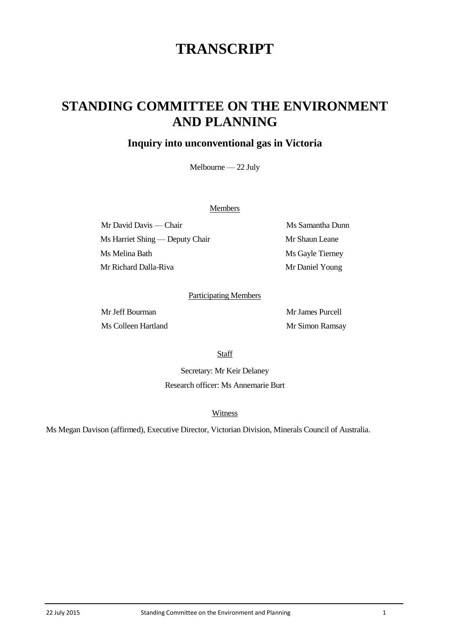# **TRANSCRIPT**

## **STANDING COMMITTEE ON THE ENVIRONMENT AND PLANNING**

### **Inquiry into unconventional gas in Victoria**

Melbourne — 22 July

#### **Members**

Mr David Davis — Chair Ms Samantha Dunn Ms Harriet Shing — Deputy Chair Mr Shaun Leane Ms Melina Bath Ms Gayle Tierney Mr Richard Dalla-Riva Mr Daniel Young

#### Participating Members

Mr Jeff Bourman Mr James Purcell Ms Colleen Hartland Mr Simon Ramsay

Staff

Secretary: Mr Keir Delaney Research officer: Ms Annemarie Burt

**Witness** 

Ms Megan Davison (affirmed), Executive Director, Victorian Division, Minerals Council of Australia.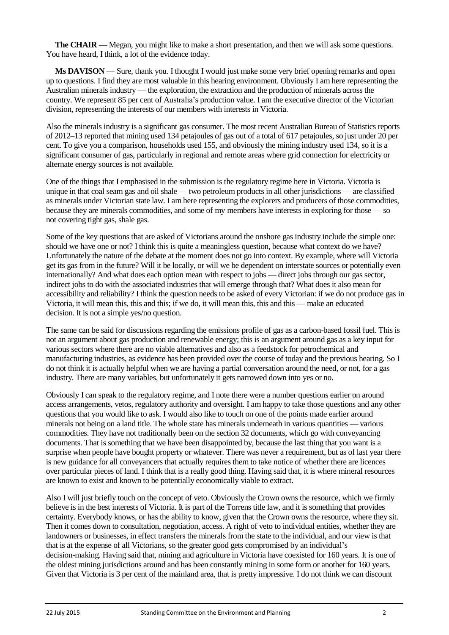**The CHAIR** — Megan, you might like to make a short presentation, and then we will ask some questions. You have heard, I think, a lot of the evidence today.

**Ms DAVISON** — Sure, thank you. I thought I would just make some very brief opening remarks and open up to questions. I find they are most valuable in this hearing environment. Obviously I am here representing the Australian minerals industry — the exploration, the extraction and the production of minerals across the country. We represent 85 per cent of Australia's production value. I am the executive director of the Victorian division, representing the interests of our members with interests in Victoria.

Also the minerals industry is a significant gas consumer. The most recent Australian Bureau of Statistics reports of 2012–13 reported that mining used 134 petajoules of gas out of a total of 617 petajoules, so just under 20 per cent. To give you a comparison, households used 155, and obviously the mining industry used 134, so it is a significant consumer of gas, particularly in regional and remote areas where grid connection for electricity or alternate energy sources is not available.

One of the things that I emphasised in the submission is the regulatory regime here in Victoria. Victoria is unique in that coal seam gas and oil shale — two petroleum products in all other jurisdictions — are classified as minerals under Victorian state law. I am here representing the explorers and producers of those commodities, because they are minerals commodities, and some of my members have interests in exploring for those — so not covering tight gas, shale gas.

Some of the key questions that are asked of Victorians around the onshore gas industry include the simple one: should we have one or not? I think this is quite a meaningless question, because what context do we have? Unfortunately the nature of the debate at the moment does not go into context. By example, where will Victoria get its gas from in the future? Will it be locally, or will we be dependent on interstate sources or potentially even internationally? And what does each option mean with respect to jobs — direct jobs through our gas sector, indirect jobs to do with the associated industries that will emerge through that? What does it also mean for accessibility and reliability? I think the question needs to be asked of every Victorian: if we do not produce gas in Victoria, it will mean this, this and this; if we do, it will mean this, this and this — make an educated decision. It is not a simple yes/no question.

The same can be said for discussions regarding the emissions profile of gas as a carbon-based fossil fuel. This is not an argument about gas production and renewable energy; this is an argument around gas as a key input for various sectors where there are no viable alternatives and also as a feedstock for petrochemical and manufacturing industries, as evidence has been provided over the course of today and the previous hearing. So I do not think it is actually helpful when we are having a partial conversation around the need, or not, for a gas industry. There are many variables, but unfortunately it gets narrowed down into yes or no.

Obviously I can speak to the regulatory regime, and I note there were a number questions earlier on around access arrangements, vetos, regulatory authority and oversight. I am happy to take those questions and any other questions that you would like to ask. I would also like to touch on one of the points made earlier around minerals not being on a land title. The whole state has minerals underneath in various quantities — various commodities. They have not traditionally been on the section 32 documents, which go with conveyancing documents. That is something that we have been disappointed by, because the last thing that you want is a surprise when people have bought property or whatever. There was never a requirement, but as of last year there is new guidance for all conveyancers that actually requires them to take notice of whether there are licences over particular pieces of land. I think that is a really good thing. Having said that, it is where mineral resources are known to exist and known to be potentially economically viable to extract.

Also I will just briefly touch on the concept of veto. Obviously the Crown owns the resource, which we firmly believe is in the best interests of Victoria. It is part of the Torrens title law, and it is something that provides certainty. Everybody knows, or has the ability to know, given that the Crown owns the resource, where they sit. Then it comes down to consultation, negotiation, access. A right of veto to individual entities, whether they are landowners or businesses, in effect transfers the minerals from the state to the individual, and our view is that that is at the expense of all Victorians, so the greater good gets compromised by an individual's decision-making. Having said that, mining and agriculture in Victoria have coexisted for 160 years. It is one of the oldest mining jurisdictions around and has been constantly mining in some form or another for 160 years. Given that Victoria is 3 per cent of the mainland area, that is pretty impressive. I do not think we can discount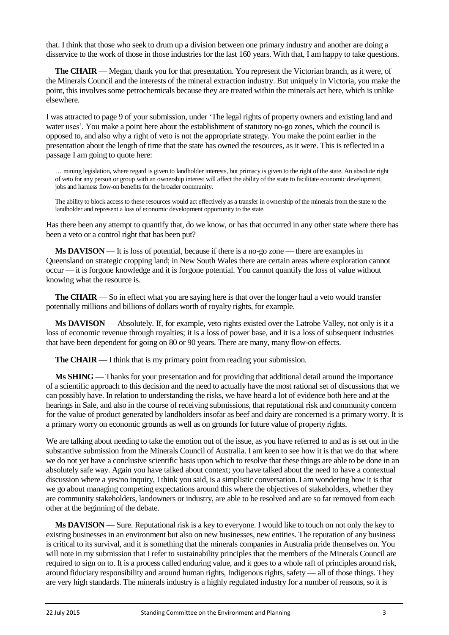that. I think that those who seek to drum up a division between one primary industry and another are doing a disservice to the work of those in those industries for the last 160 years. With that, I am happy to take questions.

**The CHAIR** — Megan, thank you for that presentation. You represent the Victorian branch, as it were, of the Minerals Council and the interests of the mineral extraction industry. But uniquely in Victoria, you make the point, this involves some petrochemicals because they are treated within the minerals act here, which is unlike elsewhere.

I was attracted to page 9 of your submission, under 'The legal rights of property owners and existing land and water uses'. You make a point here about the establishment of statutory no-go zones, which the council is opposed to, and also why a right of veto is not the appropriate strategy. You make the point earlier in the presentation about the length of time that the state has owned the resources, as it were. This is reflected in a passage I am going to quote here:

… mining legislation, where regard is given to landholder interests, but primacy is given to the right of the state. An absolute right of veto for any person or group with an ownership interest will affect the ability of the state to facilitate economic development, jobs and harness flow-on benefits for the broader community.

The ability to block access to these resources would act effectively as a transfer in ownership of the minerals from the state to the landholder and represent a loss of economic development opportunity to the state.

Has there been any attempt to quantify that, do we know, or has that occurred in any other state where there has been a veto or a control right that has been put?

**Ms DAVISON** — It is loss of potential, because if there is a no-go zone — there are examples in Queensland on strategic cropping land; in New South Wales there are certain areas where exploration cannot occur — it is forgone knowledge and it is forgone potential. You cannot quantify the loss of value without knowing what the resource is.

**The CHAIR** — So in effect what you are saying here is that over the longer haul a veto would transfer potentially millions and billions of dollars worth of royalty rights, for example.

**Ms DAVISON** — Absolutely. If, for example, veto rights existed over the Latrobe Valley, not only is it a loss of economic revenue through royalties; it is a loss of power base, and it is a loss of subsequent industries that have been dependent for going on 80 or 90 years. There are many, many flow-on effects.

**The CHAIR** — I think that is my primary point from reading your submission.

**Ms SHING** — Thanks for your presentation and for providing that additional detail around the importance of a scientific approach to this decision and the need to actually have the most rational set of discussions that we can possibly have. In relation to understanding the risks, we have heard a lot of evidence both here and at the hearings in Sale, and also in the course of receiving submissions, that reputational risk and community concern for the value of product generated by landholders insofar as beef and dairy are concerned is a primary worry. It is a primary worry on economic grounds as well as on grounds for future value of property rights.

We are talking about needing to take the emotion out of the issue, as you have referred to and as is set out in the substantive submission from the Minerals Council of Australia. I am keen to see how it is that we do that where we do not yet have a conclusive scientific basis upon which to resolve that these things are able to be done in an absolutely safe way. Again you have talked about context; you have talked about the need to have a contextual discussion where a yes/no inquiry, I think you said, is a simplistic conversation. I am wondering how it is that we go about managing competing expectations around this where the objectives of stakeholders, whether they are community stakeholders, landowners or industry, are able to be resolved and are so far removed from each other at the beginning of the debate.

**Ms DAVISON** — Sure. Reputational risk is a key to everyone. I would like to touch on not only the key to existing businesses in an environment but also on new businesses, new entities. The reputation of any business is critical to its survival, and it is something that the minerals companies in Australia pride themselves on. You will note in my submission that I refer to sustainability principles that the members of the Minerals Council are required to sign on to. It is a process called enduring value, and it goes to a whole raft of principles around risk, around fiduciary responsibility and around human rights, Indigenous rights, safety — all of those things. They are very high standards. The minerals industry is a highly regulated industry for a number of reasons, so it is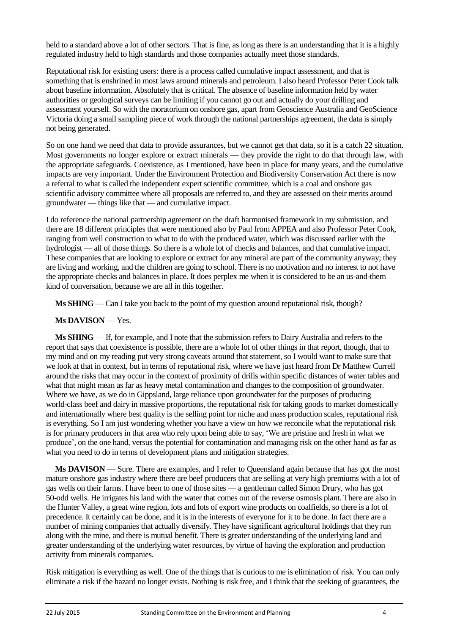held to a standard above a lot of other sectors. That is fine, as long as there is an understanding that it is a highly regulated industry held to high standards and those companies actually meet those standards.

Reputational risk for existing users: there is a process called cumulative impact assessment, and that is something that is enshrined in most laws around minerals and petroleum. I also heard Professor Peter Cook talk about baseline information. Absolutely that is critical. The absence of baseline information held by water authorities or geological surveys can be limiting if you cannot go out and actually do your drilling and assessment yourself. So with the moratorium on onshore gas, apart from Geoscience Australia and GeoScience Victoria doing a small sampling piece of work through the national partnerships agreement, the data is simply not being generated.

So on one hand we need that data to provide assurances, but we cannot get that data, so it is a catch 22 situation. Most governments no longer explore or extract minerals — they provide the right to do that through law, with the appropriate safeguards. Coexistence, as I mentioned, have been in place for many years, and the cumulative impacts are very important. Under the Environment Protection and Biodiversity Conservation Act there is now a referral to what is called the independent expert scientific committee, which is a coal and onshore gas scientific advisory committee where all proposals are referred to, and they are assessed on their merits around groundwater — things like that — and cumulative impact.

I do reference the national partnership agreement on the draft harmonised framework in my submission, and there are 18 different principles that were mentioned also by Paul from APPEA and also Professor Peter Cook, ranging from well construction to what to do with the produced water, which was discussed earlier with the hydrologist — all of those things. So there is a whole lot of checks and balances, and that cumulative impact. These companies that are looking to explore or extract for any mineral are part of the community anyway; they are living and working, and the children are going to school. There is no motivation and no interest to not have the appropriate checks and balances in place. It does perplex me when it is considered to be an us-and-them kind of conversation, because we are all in this together.

**Ms SHING** — Can I take you back to the point of my question around reputational risk, though?

#### **Ms DAVISON** — Yes.

**Ms SHING** — If, for example, and I note that the submission refers to Dairy Australia and refers to the report that says that coexistence is possible, there are a whole lot of other things in that report, though, that to my mind and on my reading put very strong caveats around that statement, so I would want to make sure that we look at that in context, but in terms of reputational risk, where we have just heard from Dr Matthew Currell around the risks that may occur in the context of proximity of drills within specific distances of water tables and what that might mean as far as heavy metal contamination and changes to the composition of groundwater. Where we have, as we do in Gippsland, large reliance upon groundwater for the purposes of producing world-class beef and dairy in massive proportions, the reputational risk for taking goods to market domestically and internationally where best quality is the selling point for niche and mass production scales, reputational risk is everything. So I am just wondering whether you have a view on how we reconcile what the reputational risk is for primary producers in that area who rely upon being able to say, 'We are pristine and fresh in what we produce', on the one hand, versus the potential for contamination and managing risk on the other hand as far as what you need to do in terms of development plans and mitigation strategies.

**Ms DAVISON** — Sure. There are examples, and I refer to Queensland again because that has got the most mature onshore gas industry where there are beef producers that are selling at very high premiums with a lot of gas wells on their farms. I have been to one of those sites — a gentleman called Simon Drury, who has got 50-odd wells. He irrigates his land with the water that comes out of the reverse osmosis plant. There are also in the Hunter Valley, a great wine region, lots and lots of export wine products on coalfields, so there is a lot of precedence. It certainly can be done, and it is in the interests of everyone for it to be done. In fact there are a number of mining companies that actually diversify. They have significant agricultural holdings that they run along with the mine, and there is mutual benefit. There is greater understanding of the underlying land and greater understanding of the underlying water resources, by virtue of having the exploration and production activity from minerals companies.

Risk mitigation is everything as well. One of the things that is curious to me is elimination of risk. You can only eliminate a risk if the hazard no longer exists. Nothing is risk free, and I think that the seeking of guarantees, the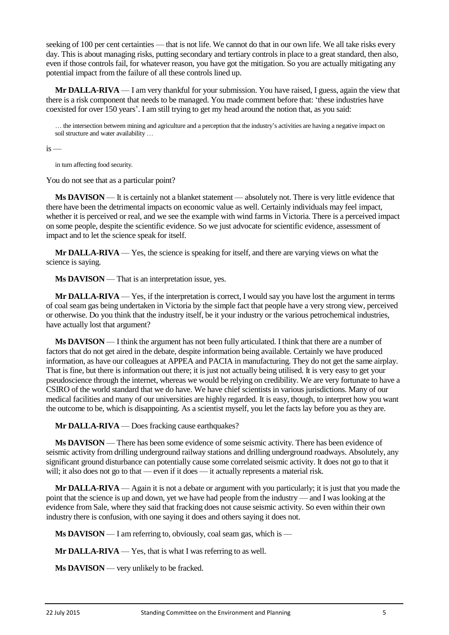seeking of 100 per cent certainties — that is not life. We cannot do that in our own life. We all take risks every day. This is about managing risks, putting secondary and tertiary controls in place to a great standard, then also, even if those controls fail, for whatever reason, you have got the mitigation. So you are actually mitigating any potential impact from the failure of all these controls lined up.

**Mr DALLA-RIVA** — I am very thankful for your submission. You have raised, I guess, again the view that there is a risk component that needs to be managed. You made comment before that: 'these industries have coexisted for over 150 years'. I am still trying to get my head around the notion that, as you said:

… the intersection between mining and agriculture and a perception that the industry's activities are having a negative impact on soil structure and water availability …

 $is -$ 

in turn affecting food security.

You do not see that as a particular point?

**Ms DAVISON** — It is certainly not a blanket statement — absolutely not. There is very little evidence that there have been the detrimental impacts on economic value as well. Certainly individuals may feel impact, whether it is perceived or real, and we see the example with wind farms in Victoria. There is a perceived impact on some people, despite the scientific evidence. So we just advocate for scientific evidence, assessment of impact and to let the science speak for itself.

**Mr DALLA-RIVA** — Yes, the science is speaking for itself, and there are varying views on what the science is saying.

**Ms DAVISON** — That is an interpretation issue, yes.

**Mr DALLA-RIVA** — Yes, if the interpretation is correct, I would say you have lost the argument in terms of coal seam gas being undertaken in Victoria by the simple fact that people have a very strong view, perceived or otherwise. Do you think that the industry itself, be it your industry or the various petrochemical industries, have actually lost that argument?

**Ms DAVISON** — I think the argument has not been fully articulated. I think that there are a number of factors that do not get aired in the debate, despite information being available. Certainly we have produced information, as have our colleagues at APPEA and PACIA in manufacturing. They do not get the same airplay. That is fine, but there is information out there; it is just not actually being utilised. It is very easy to get your pseudoscience through the internet, whereas we would be relying on credibility. We are very fortunate to have a CSIRO of the world standard that we do have. We have chief scientists in various jurisdictions. Many of our medical facilities and many of our universities are highly regarded. It is easy, though, to interpret how you want the outcome to be, which is disappointing. As a scientist myself, you let the facts lay before you as they are.

**Mr DALLA-RIVA** — Does fracking cause earthquakes?

**Ms DAVISON** — There has been some evidence of some seismic activity. There has been evidence of seismic activity from drilling underground railway stations and drilling underground roadways. Absolutely, any significant ground disturbance can potentially cause some correlated seismic activity. It does not go to that it will; it also does not go to that — even if it does — it actually represents a material risk.

**Mr DALLA-RIVA** — Again it is not a debate or argument with you particularly; it is just that you made the point that the science is up and down, yet we have had people from the industry — and I was looking at the evidence from Sale, where they said that fracking does not cause seismic activity. So even within their own industry there is confusion, with one saying it does and others saying it does not.

**Ms DAVISON** — I am referring to, obviously, coal seam gas, which is —

**Mr DALLA-RIVA** — Yes, that is what I was referring to as well.

**Ms DAVISON** — very unlikely to be fracked.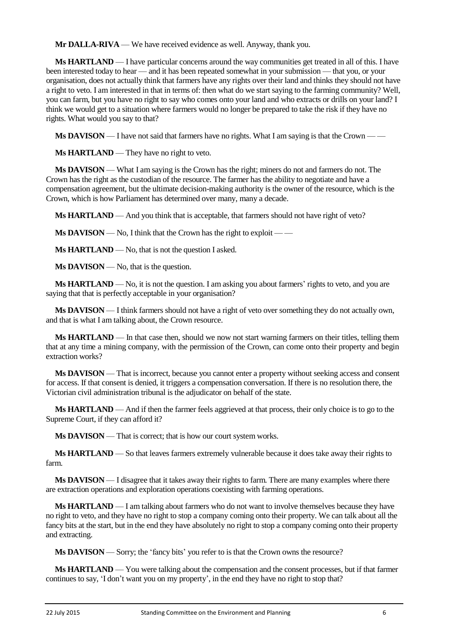**Mr DALLA-RIVA** — We have received evidence as well. Anyway, thank you.

**Ms HARTLAND** — I have particular concerns around the way communities get treated in all of this. I have been interested today to hear — and it has been repeated somewhat in your submission — that you, or your organisation, does not actually think that farmers have any rights over their land and thinks they should not have a right to veto. I am interested in that in terms of: then what do we start saying to the farming community? Well, you can farm, but you have no right to say who comes onto your land and who extracts or drills on your land? I think we would get to a situation where farmers would no longer be prepared to take the risk if they have no rights. What would you say to that?

**Ms DAVISON** — I have not said that farmers have no rights. What I am saying is that the Crown — —

**Ms HARTLAND** — They have no right to veto.

**Ms DAVISON** — What I am saying is the Crown has the right; miners do not and farmers do not. The Crown has the right as the custodian of the resource. The farmer has the ability to negotiate and have a compensation agreement, but the ultimate decision-making authority is the owner of the resource, which is the Crown, which is how Parliament has determined over many, many a decade.

**Ms HARTLAND** — And you think that is acceptable, that farmers should not have right of veto?

**Ms DAVISON** — No, I think that the Crown has the right to exploit — —

**Ms HARTLAND** — No, that is not the question I asked.

**Ms DAVISON** — No, that is the question.

**Ms HARTLAND** — No, it is not the question. I am asking you about farmers' rights to veto, and you are saying that that is perfectly acceptable in your organisation?

**Ms DAVISON** — I think farmers should not have a right of veto over something they do not actually own, and that is what I am talking about, the Crown resource.

**Ms HARTLAND** — In that case then, should we now not start warning farmers on their titles, telling them that at any time a mining company, with the permission of the Crown, can come onto their property and begin extraction works?

**Ms DAVISON** — That is incorrect, because you cannot enter a property without seeking access and consent for access. If that consent is denied, it triggers a compensation conversation. If there is no resolution there, the Victorian civil administration tribunal is the adjudicator on behalf of the state.

**Ms HARTLAND** — And if then the farmer feels aggrieved at that process, their only choice is to go to the Supreme Court, if they can afford it?

**Ms DAVISON** — That is correct; that is how our court system works.

**Ms HARTLAND** — So that leaves farmers extremely vulnerable because it does take away their rights to farm.

**Ms DAVISON** — I disagree that it takes away their rights to farm. There are many examples where there are extraction operations and exploration operations coexisting with farming operations.

**Ms HARTLAND** — I am talking about farmers who do not want to involve themselves because they have no right to veto, and they have no right to stop a company coming onto their property. We can talk about all the fancy bits at the start, but in the end they have absolutely no right to stop a company coming onto their property and extracting.

**Ms DAVISON** — Sorry; the 'fancy bits' you refer to is that the Crown owns the resource?

**Ms HARTLAND** — You were talking about the compensation and the consent processes, but if that farmer continues to say, 'I don't want you on my property', in the end they have no right to stop that?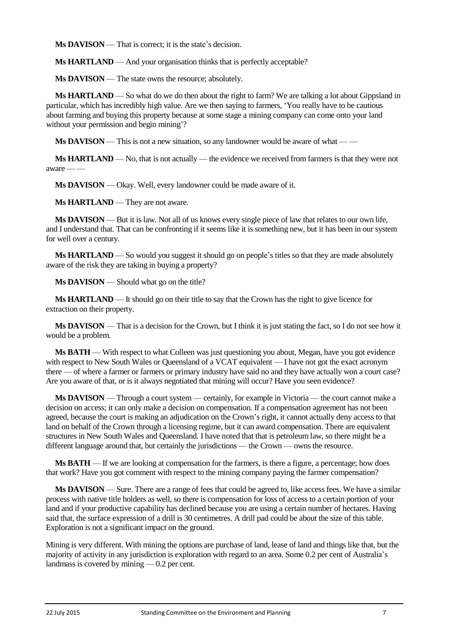**Ms DAVISON** — That is correct; it is the state's decision.

**Ms HARTLAND** — And your organisation thinks that is perfectly acceptable?

**Ms DAVISON** — The state owns the resource; absolutely.

**Ms HARTLAND** — So what do we do then about the right to farm? We are talking a lot about Gippsland in particular, which has incredibly high value. Are we then saying to farmers, 'You really have to be cautious about farming and buying this property because at some stage a mining company can come onto your land without your permission and begin mining'?

**Ms DAVISON** — This is not a new situation, so any landowner would be aware of what — —

**Ms HARTLAND** — No, that is not actually — the evidence we received from farmers is that they were not  $a$ ware — —

**Ms DAVISON** — Okay. Well, every landowner could be made aware of it.

**Ms HARTLAND** — They are not aware.

**Ms DAVISON** — But it is law. Not all of us knows every single piece of law that relates to our own life, and I understand that. That can be confronting if it seems like it is something new, but it has been in our system for well over a century.

**Ms HARTLAND** — So would you suggest it should go on people's titles so that they are made absolutely aware of the risk they are taking in buying a property?

**Ms DAVISON** — Should what go on the title?

**Ms HARTLAND** — It should go on their title to say that the Crown has the right to give licence for extraction on their property.

**Ms DAVISON** — That is a decision for the Crown, but I think it is just stating the fact, so I do not see how it would be a problem.

**Ms BATH** — With respect to what Colleen was just questioning you about, Megan, have you got evidence with respect to New South Wales or Queensland of a VCAT equivalent — I have not got the exact acronym there — of where a farmer or farmers or primary industry have said no and they have actually won a court case? Are you aware of that, or is it always negotiated that mining will occur? Have you seen evidence?

**Ms DAVISON** — Through a court system — certainly, for example in Victoria — the court cannot make a decision on access; it can only make a decision on compensation. If a compensation agreement has not been agreed, because the court is making an adjudication on the Crown's right, it cannot actually deny access to that land on behalf of the Crown through a licensing regime, but it can award compensation. There are equivalent structures in New South Wales and Queensland. I have noted that that is petroleum law, so there might be a different language around that, but certainly the jurisdictions — the Crown — owns the resource.

**Ms BATH** — If we are looking at compensation for the farmers, is there a figure, a percentage; how does that work? Have you got comment with respect to the mining company paying the farmer compensation?

**Ms DAVISON** — Sure. There are a range of fees that could be agreed to, like access fees. We have a similar process with native title holders as well, so there is compensation for loss of access to a certain portion of your land and if your productive capability has declined because you are using a certain number of hectares. Having said that, the surface expression of a drill is 30 centimetres. A drill pad could be about the size of this table. Exploration is not a significant impact on the ground.

Mining is very different. With mining the options are purchase of land, lease of land and things like that, but the majority of activity in any jurisdiction is exploration with regard to an area. Some 0.2 per cent of Australia's landmass is covered by mining — 0.2 per cent.